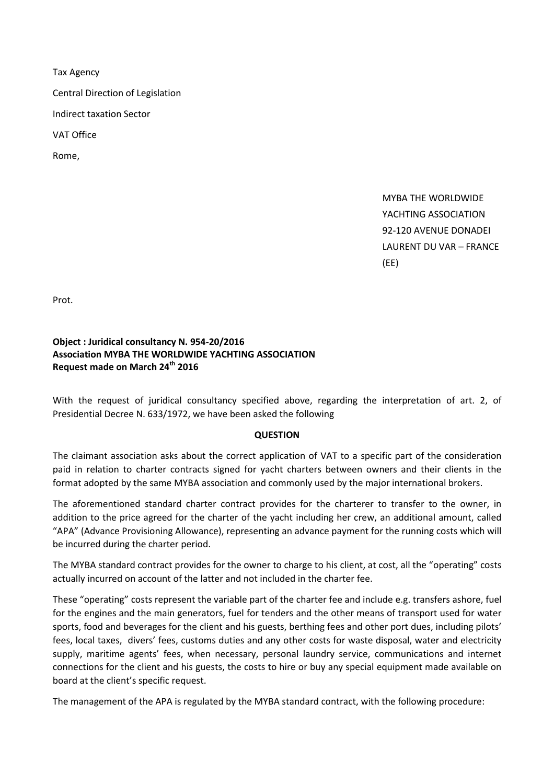Tax Agency Central Direction of Legislation Indirect taxation Sector VAT Office Rome,

> MYBA THE WORLDWIDE YACHTING ASSOCIATION 92-120 AVENUE DONADEI LAURENT DU VAR – FRANCE (EE)

Prot.

## **Object : Juridical consultancy N. 954-20/2016 Association MYBA THE WORLDWIDE YACHTING ASSOCIATION Request made on March 24th 2016**

With the request of juridical consultancy specified above, regarding the interpretation of art. 2, of Presidential Decree N. 633/1972, we have been asked the following

## **QUESTION**

The claimant association asks about the correct application of VAT to a specific part of the consideration paid in relation to charter contracts signed for yacht charters between owners and their clients in the format adopted by the same MYBA association and commonly used by the major international brokers.

The aforementioned standard charter contract provides for the charterer to transfer to the owner, in addition to the price agreed for the charter of the yacht including her crew, an additional amount, called "APA" (Advance Provisioning Allowance), representing an advance payment for the running costs which will be incurred during the charter period.

The MYBA standard contract provides for the owner to charge to his client, at cost, all the "operating" costs actually incurred on account of the latter and not included in the charter fee.

These "operating" costs represent the variable part of the charter fee and include e.g. transfers ashore, fuel for the engines and the main generators, fuel for tenders and the other means of transport used for water sports, food and beverages for the client and his guests, berthing fees and other port dues, including pilots' fees, local taxes, divers' fees, customs duties and any other costs for waste disposal, water and electricity supply, maritime agents' fees, when necessary, personal laundry service, communications and internet connections for the client and his guests, the costs to hire or buy any special equipment made available on board at the client's specific request.

The management of the APA is regulated by the MYBA standard contract, with the following procedure: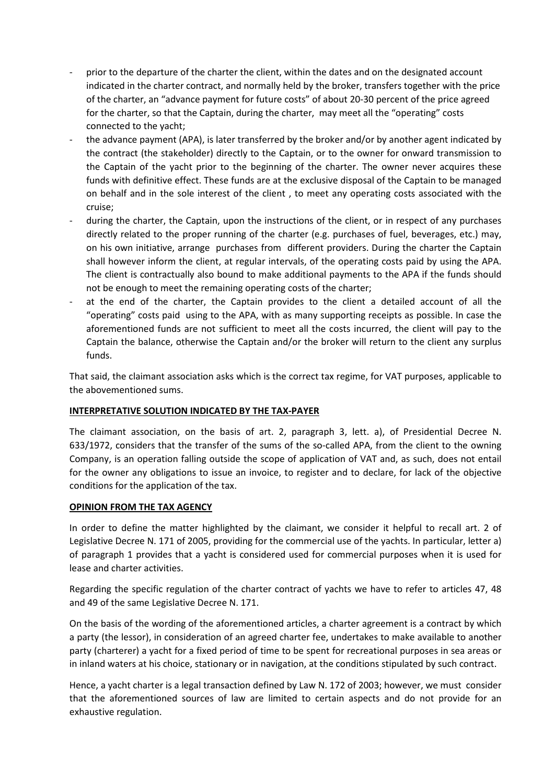- prior to the departure of the charter the client, within the dates and on the designated account indicated in the charter contract, and normally held by the broker, transfers together with the price of the charter, an "advance payment for future costs" of about 20-30 percent of the price agreed for the charter, so that the Captain, during the charter, may meet all the "operating" costs connected to the yacht;
- the advance payment (APA), is later transferred by the broker and/or by another agent indicated by the contract (the stakeholder) directly to the Captain, or to the owner for onward transmission to the Captain of the yacht prior to the beginning of the charter. The owner never acquires these funds with definitive effect. These funds are at the exclusive disposal of the Captain to be managed on behalf and in the sole interest of the client , to meet any operating costs associated with the cruise;
- during the charter, the Captain, upon the instructions of the client, or in respect of any purchases directly related to the proper running of the charter (e.g. purchases of fuel, beverages, etc.) may, on his own initiative, arrange purchases from different providers. During the charter the Captain shall however inform the client, at regular intervals, of the operating costs paid by using the APA. The client is contractually also bound to make additional payments to the APA if the funds should not be enough to meet the remaining operating costs of the charter;
- at the end of the charter, the Captain provides to the client a detailed account of all the "operating" costs paid using to the APA, with as many supporting receipts as possible. In case the aforementioned funds are not sufficient to meet all the costs incurred, the client will pay to the Captain the balance, otherwise the Captain and/or the broker will return to the client any surplus funds.

That said, the claimant association asks which is the correct tax regime, for VAT purposes, applicable to the abovementioned sums.

## **INTERPRETATIVE SOLUTION INDICATED BY THE TAX-PAYER**

The claimant association, on the basis of art. 2, paragraph 3, lett. a), of Presidential Decree N. 633/1972, considers that the transfer of the sums of the so-called APA, from the client to the owning Company, is an operation falling outside the scope of application of VAT and, as such, does not entail for the owner any obligations to issue an invoice, to register and to declare, for lack of the objective conditions for the application of the tax.

## **OPINION FROM THE TAX AGENCY**

In order to define the matter highlighted by the claimant, we consider it helpful to recall art. 2 of Legislative Decree N. 171 of 2005, providing for the commercial use of the yachts. In particular, letter a) of paragraph 1 provides that a yacht is considered used for commercial purposes when it is used for lease and charter activities.

Regarding the specific regulation of the charter contract of yachts we have to refer to articles 47, 48 and 49 of the same Legislative Decree N. 171.

On the basis of the wording of the aforementioned articles, a charter agreement is a contract by which a party (the lessor), in consideration of an agreed charter fee, undertakes to make available to another party (charterer) a yacht for a fixed period of time to be spent for recreational purposes in sea areas or in inland waters at his choice, stationary or in navigation, at the conditions stipulated by such contract.

Hence, a yacht charter is a legal transaction defined by Law N. 172 of 2003; however, we must consider that the aforementioned sources of law are limited to certain aspects and do not provide for an exhaustive regulation.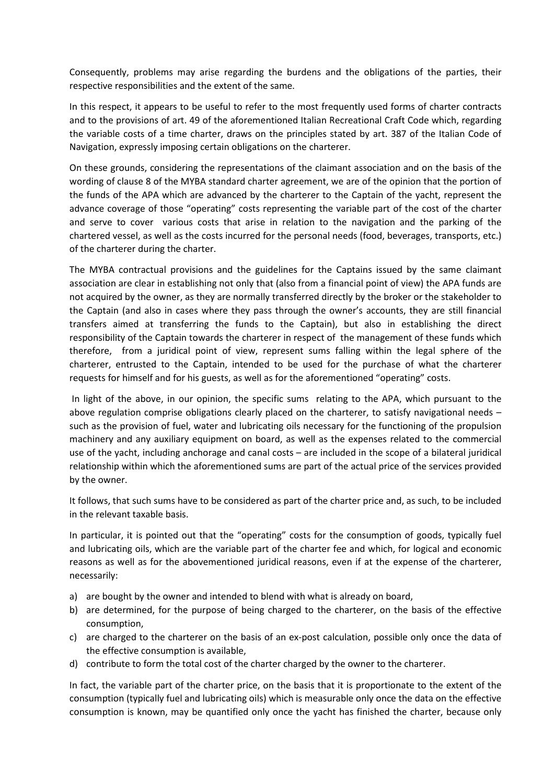Consequently, problems may arise regarding the burdens and the obligations of the parties, their respective responsibilities and the extent of the same.

In this respect, it appears to be useful to refer to the most frequently used forms of charter contracts and to the provisions of art. 49 of the aforementioned Italian Recreational Craft Code which, regarding the variable costs of a time charter, draws on the principles stated by art. 387 of the Italian Code of Navigation, expressly imposing certain obligations on the charterer.

On these grounds, considering the representations of the claimant association and on the basis of the wording of clause 8 of the MYBA standard charter agreement, we are of the opinion that the portion of the funds of the APA which are advanced by the charterer to the Captain of the yacht, represent the advance coverage of those "operating" costs representing the variable part of the cost of the charter and serve to cover various costs that arise in relation to the navigation and the parking of the chartered vessel, as well as the costs incurred for the personal needs (food, beverages, transports, etc.) of the charterer during the charter.

The MYBA contractual provisions and the guidelines for the Captains issued by the same claimant association are clear in establishing not only that (also from a financial point of view) the APA funds are not acquired by the owner, as they are normally transferred directly by the broker or the stakeholder to the Captain (and also in cases where they pass through the owner's accounts, they are still financial transfers aimed at transferring the funds to the Captain), but also in establishing the direct responsibility of the Captain towards the charterer in respect of the management of these funds which therefore, from a juridical point of view, represent sums falling within the legal sphere of the charterer, entrusted to the Captain, intended to be used for the purchase of what the charterer requests for himself and for his guests, as well as for the aforementioned "operating" costs.

 In light of the above, in our opinion, the specific sums relating to the APA, which pursuant to the above regulation comprise obligations clearly placed on the charterer, to satisfy navigational needs such as the provision of fuel, water and lubricating oils necessary for the functioning of the propulsion machinery and any auxiliary equipment on board, as well as the expenses related to the commercial use of the yacht, including anchorage and canal costs – are included in the scope of a bilateral juridical relationship within which the aforementioned sums are part of the actual price of the services provided by the owner.

It follows, that such sums have to be considered as part of the charter price and, as such, to be included in the relevant taxable basis.

In particular, it is pointed out that the "operating" costs for the consumption of goods, typically fuel and lubricating oils, which are the variable part of the charter fee and which, for logical and economic reasons as well as for the abovementioned juridical reasons, even if at the expense of the charterer, necessarily:

- a) are bought by the owner and intended to blend with what is already on board,
- b) are determined, for the purpose of being charged to the charterer, on the basis of the effective consumption,
- c) are charged to the charterer on the basis of an ex-post calculation, possible only once the data of the effective consumption is available,
- d) contribute to form the total cost of the charter charged by the owner to the charterer.

In fact, the variable part of the charter price, on the basis that it is proportionate to the extent of the consumption (typically fuel and lubricating oils) which is measurable only once the data on the effective consumption is known, may be quantified only once the yacht has finished the charter, because only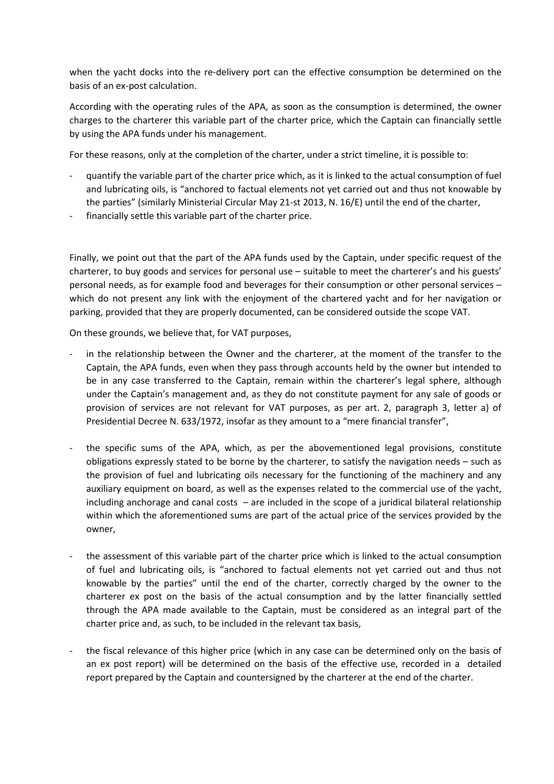when the yacht docks into the re-delivery port can the effective consumption be determined on the basis of an ex-post calculation.

According with the operating rules of the APA, as soon as the consumption is determined, the owner charges to the charterer this variable part of the charter price, which the Captain can financially settle by using the APA funds under his management.

For these reasons, only at the completion of the charter, under a strict timeline, it is possible to:

- quantify the variable part of the charter price which, as it is linked to the actual consumption of fuel and lubricating oils, is "anchored to factual elements not yet carried out and thus not knowable by the parties" (similarly Ministerial Circular May 21-st 2013, N. 16/E) until the end of the charter,
- financially settle this variable part of the charter price.

Finally, we point out that the part of the APA funds used by the Captain, under specific request of the charterer, to buy goods and services for personal use – suitable to meet the charterer's and his guests' personal needs, as for example food and beverages for their consumption or other personal services – which do not present any link with the enjoyment of the chartered yacht and for her navigation or parking, provided that they are properly documented, can be considered outside the scope VAT.

On these grounds, we believe that, for VAT purposes,

- in the relationship between the Owner and the charterer, at the moment of the transfer to the Captain, the APA funds, even when they pass through accounts held by the owner but intended to be in any case transferred to the Captain, remain within the charterer's legal sphere, although under the Captain's management and, as they do not constitute payment for any sale of goods or provision of services are not relevant for VAT purposes, as per art. 2, paragraph 3, letter a) of Presidential Decree N. 633/1972, insofar as they amount to a "mere financial transfer",
- the specific sums of the APA, which, as per the abovementioned legal provisions, constitute obligations expressly stated to be borne by the charterer, to satisfy the navigation needs – such as the provision of fuel and lubricating oils necessary for the functioning of the machinery and any auxiliary equipment on board, as well as the expenses related to the commercial use of the yacht, including anchorage and canal costs – are included in the scope of a juridical bilateral relationship within which the aforementioned sums are part of the actual price of the services provided by the owner,
- the assessment of this variable part of the charter price which is linked to the actual consumption of fuel and lubricating oils, is "anchored to factual elements not yet carried out and thus not knowable by the parties" until the end of the charter, correctly charged by the owner to the charterer ex post on the basis of the actual consumption and by the latter financially settled through the APA made available to the Captain, must be considered as an integral part of the charter price and, as such, to be included in the relevant tax basis,
- the fiscal relevance of this higher price (which in any case can be determined only on the basis of an ex post report) will be determined on the basis of the effective use, recorded in a detailed report prepared by the Captain and countersigned by the charterer at the end of the charter.